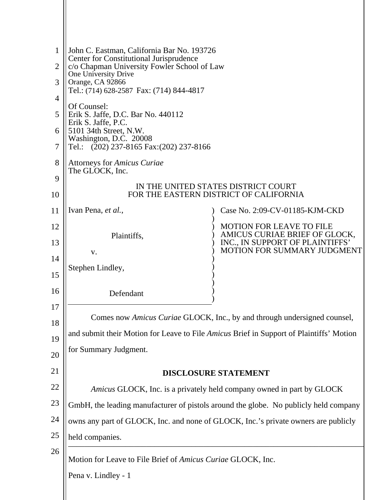| 1<br>$\overline{2}$<br>3<br>$\overline{4}$<br>5<br>6<br>7<br>8<br>9 | John C. Eastman, California Bar No. 193726<br>Center for Constitutional Jurisprudence<br>c/o Chapman University Fowler School of Law<br>One University Drive<br>Orange, CA 92866<br>Tel.: (714) 628-2587 Fax: (714) 844-4817<br>Of Counsel:<br>Erik S. Jaffe, D.C. Bar No. 440112<br>Erik S. Jaffe, P.C.<br>5101 34th Street, N.W.<br>Washington, D.C. 20008<br>Tel.: $(202)$ 237-8165 Fax: $(202)$ 237-8166<br>Attorneys for Amicus Curiae<br>The GLOCK, Inc.<br>IN THE UNITED STATES DISTRICT COURT |                                                                  |  |
|---------------------------------------------------------------------|-------------------------------------------------------------------------------------------------------------------------------------------------------------------------------------------------------------------------------------------------------------------------------------------------------------------------------------------------------------------------------------------------------------------------------------------------------------------------------------------------------|------------------------------------------------------------------|--|
| 10                                                                  |                                                                                                                                                                                                                                                                                                                                                                                                                                                                                                       | FOR THE EASTERN DISTRICT OF CALIFORNIA                           |  |
| 11                                                                  | Ivan Pena, et al.,                                                                                                                                                                                                                                                                                                                                                                                                                                                                                    | Case No. 2:09-CV-01185-KJM-CKD                                   |  |
| 12                                                                  | Plaintiffs,                                                                                                                                                                                                                                                                                                                                                                                                                                                                                           | <b>MOTION FOR LEAVE TO FILE</b><br>AMICUS CURIAE BRIEF OF GLOCK, |  |
| 13                                                                  | V.                                                                                                                                                                                                                                                                                                                                                                                                                                                                                                    | INC., IN SUPPORT OF PLAINTIFFS'<br>MOTION FOR SUMMARY JUDGMENT   |  |
| 14<br>15                                                            | Stephen Lindley,                                                                                                                                                                                                                                                                                                                                                                                                                                                                                      |                                                                  |  |
| 16                                                                  | Defendant                                                                                                                                                                                                                                                                                                                                                                                                                                                                                             |                                                                  |  |
| 17                                                                  |                                                                                                                                                                                                                                                                                                                                                                                                                                                                                                       |                                                                  |  |
| 18                                                                  | Comes now Amicus Curiae GLOCK, Inc., by and through undersigned counsel,                                                                                                                                                                                                                                                                                                                                                                                                                              |                                                                  |  |
| 19                                                                  | and submit their Motion for Leave to File Amicus Brief in Support of Plaintiffs' Motion                                                                                                                                                                                                                                                                                                                                                                                                               |                                                                  |  |
| 20                                                                  | for Summary Judgment.                                                                                                                                                                                                                                                                                                                                                                                                                                                                                 |                                                                  |  |
| 21                                                                  | <b>DISCLOSURE STATEMENT</b>                                                                                                                                                                                                                                                                                                                                                                                                                                                                           |                                                                  |  |
| 22                                                                  | Amicus GLOCK, Inc. is a privately held company owned in part by GLOCK                                                                                                                                                                                                                                                                                                                                                                                                                                 |                                                                  |  |
| 23                                                                  | GmbH, the leading manufacturer of pistols around the globe. No publicly held company                                                                                                                                                                                                                                                                                                                                                                                                                  |                                                                  |  |
| 24                                                                  | owns any part of GLOCK, Inc. and none of GLOCK, Inc.'s private owners are publicly                                                                                                                                                                                                                                                                                                                                                                                                                    |                                                                  |  |
| 25                                                                  | held companies.                                                                                                                                                                                                                                                                                                                                                                                                                                                                                       |                                                                  |  |
| 26                                                                  | Motion for Leave to File Brief of Amicus Curiae GLOCK, Inc.                                                                                                                                                                                                                                                                                                                                                                                                                                           |                                                                  |  |
|                                                                     | Pena v. Lindley - 1                                                                                                                                                                                                                                                                                                                                                                                                                                                                                   |                                                                  |  |
|                                                                     |                                                                                                                                                                                                                                                                                                                                                                                                                                                                                                       |                                                                  |  |
|                                                                     |                                                                                                                                                                                                                                                                                                                                                                                                                                                                                                       |                                                                  |  |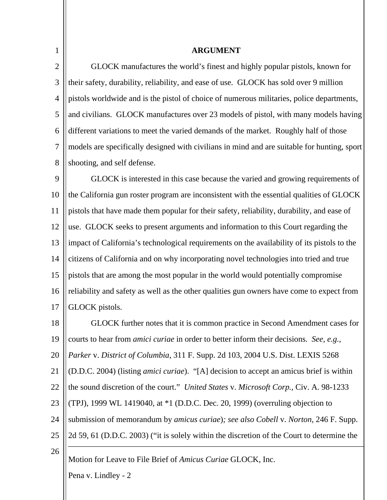2 3 4 5 6 7 8 GLOCK manufactures the world's finest and highly popular pistols, known for their safety, durability, reliability, and ease of use. GLOCK has sold over 9 million pistols worldwide and is the pistol of choice of numerous militaries, police departments, and civilians. GLOCK manufactures over 23 models of pistol, with many models having different variations to meet the varied demands of the market. Roughly half of those models are specifically designed with civilians in mind and are suitable for hunting, sport shooting, and self defense.

**ARGUMENT**

 $\mathbf Q$ 10 11 12 13 14 15 16 17 GLOCK is interested in this case because the varied and growing requirements of the California gun roster program are inconsistent with the essential qualities of GLOCK pistols that have made them popular for their safety, reliability, durability, and ease of use. GLOCK seeks to present arguments and information to this Court regarding the impact of California's technological requirements on the availability of its pistols to the citizens of California and on why incorporating novel technologies into tried and true pistols that are among the most popular in the world would potentially compromise reliability and safety as well as the other qualities gun owners have come to expect from GLOCK pistols.

\_\_\_\_\_\_\_\_\_\_\_\_\_\_\_\_\_\_\_\_\_\_\_\_\_\_\_\_\_\_\_\_\_\_\_\_\_\_\_\_\_\_\_\_\_\_\_\_\_\_\_\_\_\_\_\_\_\_\_\_\_\_\_\_\_\_\_\_\_\_\_\_ 18 19 20 21 22 23 24 25 26 GLOCK further notes that it is common practice in Second Amendment cases for courts to hear from *amici curiae* in order to better inform their decisions. *See, e.g.*, *Parker* v. *District of Columbia*, 311 F. Supp. 2d 103, 2004 U.S. Dist. LEXIS 5268 (D.D.C. 2004) (listing *amici curiae*). "[A] decision to accept an amicus brief is within the sound discretion of the court." *United States* v. *Microsoft Corp.,* Civ. A. 98-1233 (TPJ), 1999 WL 1419040, at \*1 (D.D.C. Dec. 20, 1999) (overruling objection to submission of memorandum by *amicus curiae*)*; see also Cobell* v. *Norton,* 246 F. Supp. 2d 59, 61 (D.D.C. 2003) ("it is solely within the discretion of the Court to determine the

Motion for Leave to File Brief of *Amicus Curiae* GLOCK, Inc.

Pena v. Lindley - 2

1